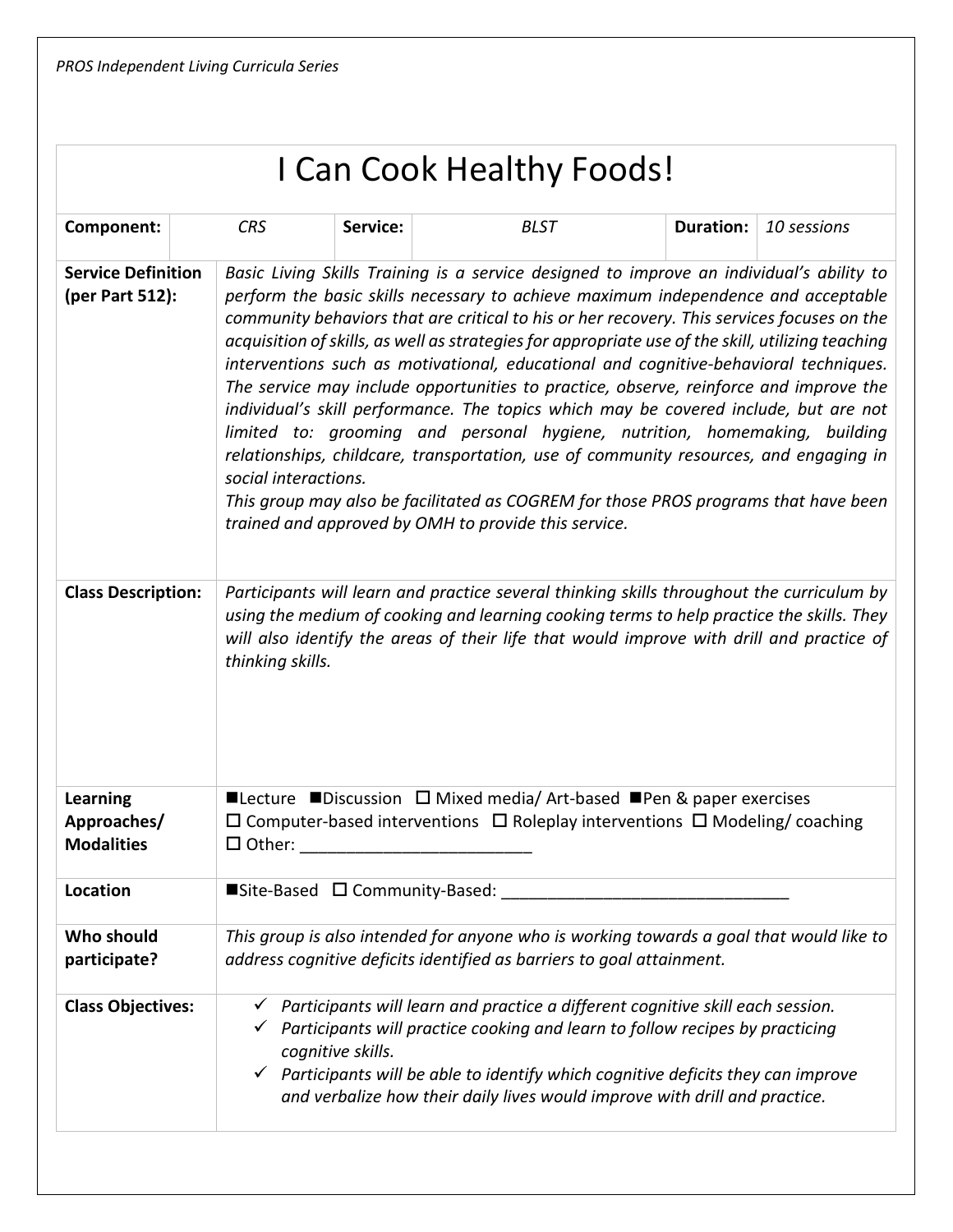| I Can Cook Healthy Foods! |  |
|---------------------------|--|
|---------------------------|--|

| Component:                                                                | <b>CRS</b>                                                                                                                                                                                | Service:          | <b>BLST</b>                                                                                                                                                                                                                                                                                                                                                                                                                                                                                                                                                                                                                                                                                                                                                                                                                                                                                                                                                                                                                                                                                                                                                                                                                                                          | <b>Duration:</b> | 10 sessions |
|---------------------------------------------------------------------------|-------------------------------------------------------------------------------------------------------------------------------------------------------------------------------------------|-------------------|----------------------------------------------------------------------------------------------------------------------------------------------------------------------------------------------------------------------------------------------------------------------------------------------------------------------------------------------------------------------------------------------------------------------------------------------------------------------------------------------------------------------------------------------------------------------------------------------------------------------------------------------------------------------------------------------------------------------------------------------------------------------------------------------------------------------------------------------------------------------------------------------------------------------------------------------------------------------------------------------------------------------------------------------------------------------------------------------------------------------------------------------------------------------------------------------------------------------------------------------------------------------|------------------|-------------|
| <b>Service Definition</b><br>(per Part 512):<br><b>Class Description:</b> | social interactions.<br>thinking skills.                                                                                                                                                  |                   | Basic Living Skills Training is a service designed to improve an individual's ability to<br>perform the basic skills necessary to achieve maximum independence and acceptable<br>community behaviors that are critical to his or her recovery. This services focuses on the<br>acquisition of skills, as well as strategies for appropriate use of the skill, utilizing teaching<br>interventions such as motivational, educational and cognitive-behavioral techniques.<br>The service may include opportunities to practice, observe, reinforce and improve the<br>individual's skill performance. The topics which may be covered include, but are not<br>limited to: grooming and personal hygiene, nutrition, homemaking, building<br>relationships, childcare, transportation, use of community resources, and engaging in<br>This group may also be facilitated as COGREM for those PROS programs that have been<br>trained and approved by OMH to provide this service.<br>Participants will learn and practice several thinking skills throughout the curriculum by<br>using the medium of cooking and learning cooking terms to help practice the skills. They<br>will also identify the areas of their life that would improve with drill and practice of |                  |             |
| <b>Learning</b><br>Approaches/<br><b>Modalities</b>                       | ■Lecture ■Discussion $\Box$ Mixed media/ Art-based ■Pen & paper exercises<br>$\Box$ Computer-based interventions $\Box$ Roleplay interventions $\Box$ Modeling/ coaching<br>$\Box$ Other: |                   |                                                                                                                                                                                                                                                                                                                                                                                                                                                                                                                                                                                                                                                                                                                                                                                                                                                                                                                                                                                                                                                                                                                                                                                                                                                                      |                  |             |
| Location                                                                  | ■Site-Based □ Community-Based:                                                                                                                                                            |                   |                                                                                                                                                                                                                                                                                                                                                                                                                                                                                                                                                                                                                                                                                                                                                                                                                                                                                                                                                                                                                                                                                                                                                                                                                                                                      |                  |             |
| Who should<br>participate?                                                | This group is also intended for anyone who is working towards a goal that would like to<br>address cognitive deficits identified as barriers to goal attainment.                          |                   |                                                                                                                                                                                                                                                                                                                                                                                                                                                                                                                                                                                                                                                                                                                                                                                                                                                                                                                                                                                                                                                                                                                                                                                                                                                                      |                  |             |
| <b>Class Objectives:</b>                                                  |                                                                                                                                                                                           | cognitive skills. | Participants will learn and practice a different cognitive skill each session.<br>$\checkmark$ Participants will practice cooking and learn to follow recipes by practicing<br>$\checkmark$ Participants will be able to identify which cognitive deficits they can improve<br>and verbalize how their daily lives would improve with drill and practice.                                                                                                                                                                                                                                                                                                                                                                                                                                                                                                                                                                                                                                                                                                                                                                                                                                                                                                            |                  |             |